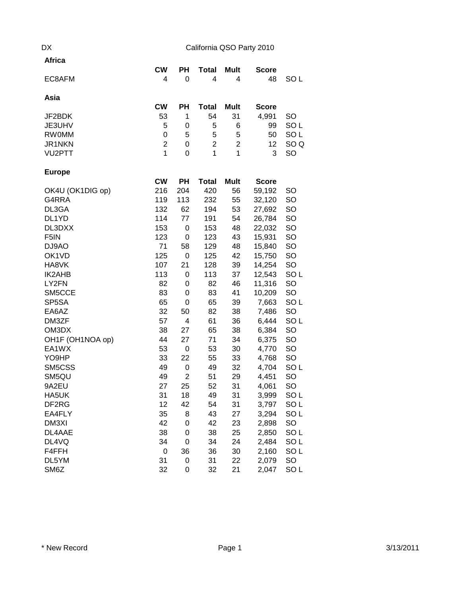## DX California QSO Party 2010

| <b>Africa</b>     | <b>CW</b>        | <b>PH</b> |                   |                | <b>Score</b>   |                 |
|-------------------|------------------|-----------|-------------------|----------------|----------------|-----------------|
| EC8AFM            | 4                | 0         | <b>Total</b><br>4 | Mult<br>4      | 48             | SO <sub>L</sub> |
| Asia              |                  |           |                   |                |                |                 |
|                   | <b>CW</b>        | <b>PH</b> | <b>Total</b>      | Mult           | <b>Score</b>   |                 |
| JF2BDK            | 53               | 1         | 54                | 31             | 4,991          | <b>SO</b>       |
| JE3UHV            | 5                | 0         | 5                 | 6              | 99             | SO <sub>L</sub> |
| <b>RW0MM</b>      | 0                | 5         | 5                 | 5              | 50             | SO <sub>L</sub> |
| JR1NKN            | $\overline{2}$   | 0         | 2                 | $\overline{2}$ | 12             | SO <sub>Q</sub> |
| VU2PTT            | $\mathbf{1}$     | 0         | 1                 | $\mathbf 1$    | 3              | SO              |
| <b>Europe</b>     |                  |           |                   |                |                |                 |
|                   | <b>CW</b>        | <b>PH</b> | <b>Total</b>      | <b>Mult</b>    | <b>Score</b>   |                 |
| OK4U (OK1DIG op)  | 216              | 204       | 420               | 56             | 59,192         | <b>SO</b>       |
| G4RRA             | 119              | 113       | 232               | 55             | 32,120         | SO              |
| DL3GA             | 132              | 62        | 194               | 53             | 27,692         | SO              |
| DL1YD             | 114              | 77        | 191               | 54             | 26,784         | SO              |
| DL3DXX            | 153              | 0         | 153               | 48             | 22,032         | SO              |
| F <sub>5</sub> IN | 123              | 0         | 123               | 43             | 15,931         | SO              |
| DJ9AO             | 71               | 58        | 129               | 48             | 15,840         | SO              |
| OK1VD             | 125              | 0         | 125               | 42             | 15,750         | SO              |
| HA8VK             | 107              | 21        | 128               | 39             | 14,254         | SO              |
| <b>IK2AHB</b>     | 113              | 0         | 113               | 37             | 12,543         | SO <sub>L</sub> |
| LY2FN             | 82               | 0         | 82                | 46             | 11,316         | SO              |
| SM5CCE            | 83               | 0         | 83                | 41             | 10,209         | SO              |
| SP5SA             | 65               | 0         | 65                | 39             | 7,663          | SO <sub>L</sub> |
| EA6AZ             | 32               | 50        | 82                | 38             | 7,486          | SO              |
| DM3ZF             | 57               | 4         | 61                | 36             | 6,444          | SO <sub>L</sub> |
| OM3DX             | 38               | 27        | 65                | 38             | 6,384          | SO              |
| OH1F (OH1NOA op)  | 44               | 27        | 71                | 34             | 6,375          | SO              |
| EA1WX<br>YO9HP    | 53<br>33         | 0<br>22   | 53<br>55          | 30<br>33       | 4,770<br>4,768 | SO<br><b>SO</b> |
| SM5CSS            | 49               | 0         | 49                | 32             | 4,704          | SO <sub>L</sub> |
| SM5QU             | 49               | 2         | 51                | 29             | 4,451          | <b>SO</b>       |
| 9A2EU             | 27               | 25        | 52                | 31             | 4,061          | SO              |
| HA5UK             | 31               | 18        | 49                | 31             | 3,999          | SO <sub>L</sub> |
| DF2RG             | 12               | 42        | 54                | 31             | 3,797          | SO <sub>L</sub> |
| EA4FLY            | 35               | 8         | 43                | 27             | 3,294          | SO <sub>L</sub> |
| DM3XI             | 42               | 0         | 42                | 23             | 2,898          | SO              |
| DL4AAE            | 38               | 0         | 38                | 25             | 2,850          | SO <sub>L</sub> |
| DL4VQ             | 34               | 0         | 34                | 24             | 2,484          | SO <sub>L</sub> |
| F4FFH             | $\boldsymbol{0}$ | 36        | 36                | 30             | 2,160          | SO <sub>L</sub> |
| DL5YM             | 31               | 0         | 31                | 22             | 2,079          | SO              |
| SM6Z              | 32               | 0         | 32                | 21             | 2,047          | SO <sub>L</sub> |